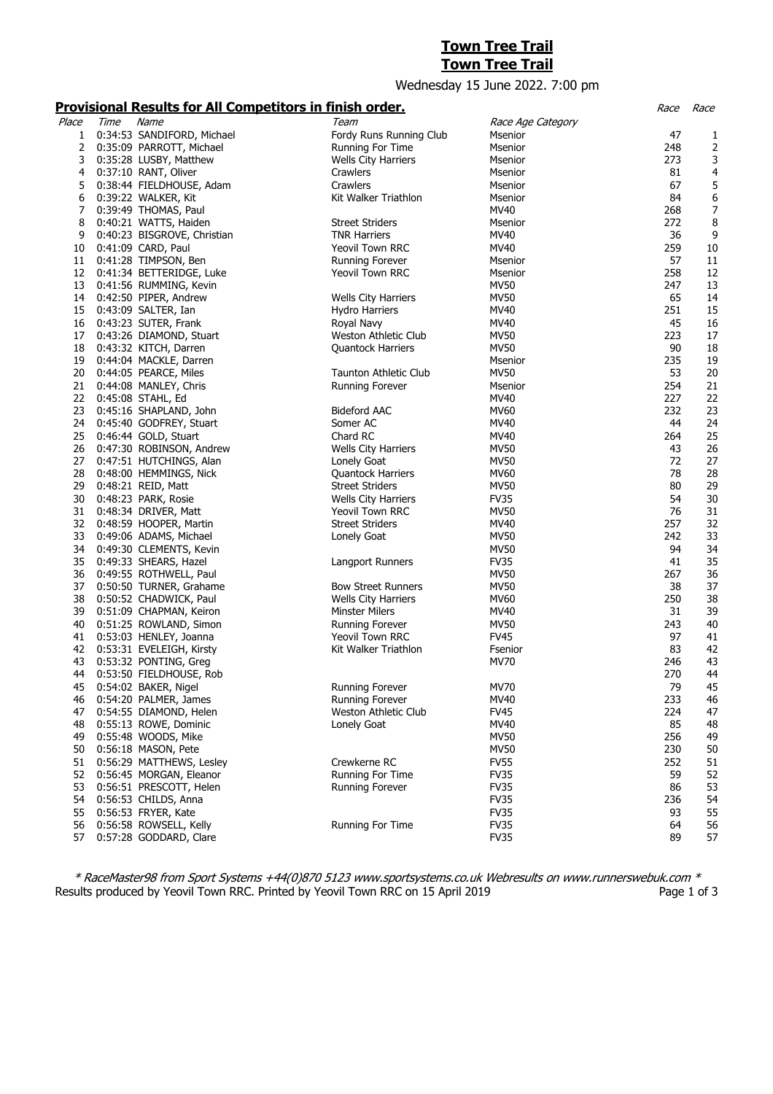# **Town Tree Trail**

#### **Town Tree Trail**

## Wednesday 15 June 2022. 7:00 pm

#### **Provisional Results for All Competitors in finish order.** Race Race

|       |      | <u>I TOTISIONIAI RESARS TOI AII COMPETICITS IN MINSIE OF ACTI</u> |                            |                   |     | $\sim$           |
|-------|------|-------------------------------------------------------------------|----------------------------|-------------------|-----|------------------|
| Place | Time | Name                                                              | Team                       | Race Age Category |     |                  |
| 1     |      | 0:34:53 SANDIFORD, Michael                                        | Fordy Runs Running Club    | Msenior           | 47  | 1                |
| 2     |      | 0:35:09 PARROTT, Michael                                          | Running For Time           | Msenior           | 248 | $\mathbf 2$      |
| 3     |      | 0:35:28 LUSBY, Matthew                                            | <b>Wells City Harriers</b> | Msenior           | 273 | 3                |
| 4     |      | 0:37:10 RANT, Oliver                                              | Crawlers                   | Msenior           | 81  | 4                |
| 5     |      | 0:38:44 FIELDHOUSE, Adam                                          | Crawlers                   | Msenior           | 67  | 5                |
| 6     |      | 0:39:22 WALKER, Kit                                               | Kit Walker Triathlon       | Msenior           | 84  | 6                |
| 7     |      | 0:39:49 THOMAS, Paul                                              |                            | MV40              | 268 | $\boldsymbol{7}$ |
| 8     |      |                                                                   | <b>Street Striders</b>     |                   | 272 |                  |
|       |      | 0:40:21 WATTS, Haiden                                             |                            | Msenior           |     | 8                |
| 9     |      | 0:40:23 BISGROVE, Christian                                       | <b>TNR Harriers</b>        | MV40              | 36  | 9                |
| 10    |      | 0:41:09 CARD, Paul                                                | <b>Yeovil Town RRC</b>     | MV40              | 259 | 10               |
| 11    |      | 0:41:28 TIMPSON, Ben                                              | Running Forever            | Msenior           | 57  | 11               |
| 12    |      | 0:41:34 BETTERIDGE, Luke                                          | Yeovil Town RRC            | Msenior           | 258 | 12               |
| 13    |      | 0:41:56 RUMMING, Kevin                                            |                            | <b>MV50</b>       | 247 | 13               |
| 14    |      | 0:42:50 PIPER, Andrew                                             | Wells City Harriers        | <b>MV50</b>       | 65  | 14               |
| 15    |      | 0:43:09 SALTER, Ian                                               | <b>Hydro Harriers</b>      | MV40              | 251 | 15               |
| 16    |      | 0:43:23 SUTER, Frank                                              | Royal Navy                 | MV40              | 45  | 16               |
| 17    |      | 0:43:26 DIAMOND, Stuart                                           | Weston Athletic Club       | <b>MV50</b>       | 223 | 17               |
| 18    |      | 0:43:32 KITCH, Darren                                             | <b>Quantock Harriers</b>   | <b>MV50</b>       | 90  | 18               |
| 19    |      | 0:44:04 MACKLE, Darren                                            |                            | Msenior           | 235 | 19               |
| 20    |      | 0:44:05 PEARCE, Miles                                             | Taunton Athletic Club      | <b>MV50</b>       | 53  | 20               |
| 21    |      | 0:44:08 MANLEY, Chris                                             | <b>Running Forever</b>     | Msenior           | 254 | 21               |
| 22    |      | 0:45:08 STAHL, Ed                                                 |                            | MV40              | 227 | 22               |
| 23    |      |                                                                   | <b>Bideford AAC</b>        | MV60              | 232 | 23               |
|       |      | 0:45:16 SHAPLAND, John                                            |                            |                   | 44  |                  |
| 24    |      | 0:45:40 GODFREY, Stuart                                           | Somer AC                   | MV40              |     | 24               |
| 25    |      | 0:46:44 GOLD, Stuart                                              | Chard RC                   | MV40              | 264 | 25               |
| 26    |      | 0:47:30 ROBINSON, Andrew                                          | Wells City Harriers        | MV50              | 43  | 26               |
| 27    |      | 0:47:51 HUTCHINGS, Alan                                           | Lonely Goat                | <b>MV50</b>       | 72  | 27               |
| 28    |      | 0:48:00 HEMMINGS, Nick                                            | <b>Quantock Harriers</b>   | MV60              | 78  | 28               |
| 29    |      | 0:48:21 REID, Matt                                                | <b>Street Striders</b>     | <b>MV50</b>       | 80  | 29               |
| 30    |      | 0:48:23 PARK, Rosie                                               | <b>Wells City Harriers</b> | <b>FV35</b>       | 54  | 30               |
| 31    |      | 0:48:34 DRIVER, Matt                                              | <b>Yeovil Town RRC</b>     | <b>MV50</b>       | 76  | 31               |
| 32    |      | 0:48:59 HOOPER, Martin                                            | <b>Street Striders</b>     | MV40              | 257 | 32               |
| 33    |      | 0:49:06 ADAMS, Michael                                            | Lonely Goat                | <b>MV50</b>       | 242 | 33               |
| 34    |      | 0:49:30 CLEMENTS, Kevin                                           |                            | <b>MV50</b>       | 94  | 34               |
| 35    |      | 0:49:33 SHEARS, Hazel                                             | Langport Runners           | <b>FV35</b>       | 41  | 35               |
| 36    |      | 0:49:55 ROTHWELL, Paul                                            |                            | MV50              | 267 | 36               |
| 37    |      | 0:50:50 TURNER, Grahame                                           | <b>Bow Street Runners</b>  | <b>MV50</b>       | 38  | 37               |
| 38    |      | 0:50:52 CHADWICK, Paul                                            | <b>Wells City Harriers</b> | MV60              | 250 | 38               |
| 39    |      | 0:51:09 CHAPMAN, Keiron                                           | <b>Minster Milers</b>      | MV40              | 31  | 39               |
| 40    |      | 0:51:25 ROWLAND, Simon                                            | <b>Running Forever</b>     | <b>MV50</b>       | 243 | 40               |
|       |      |                                                                   |                            | <b>FV45</b>       | 97  |                  |
| 41    |      | 0:53:03 HENLEY, Joanna                                            | Yeovil Town RRC            |                   |     | 41               |
| 42    |      | 0:53:31 EVELEIGH, Kirsty                                          | Kit Walker Triathlon       | Fsenior           | 83  | 42               |
| 43    |      | 0:53:32 PONTING, Greg                                             |                            | <b>MV70</b>       | 246 | 43               |
| 44    |      | 0:53:50 FIELDHOUSE, Rob                                           |                            |                   | 270 | 44               |
| 45    |      | 0:54:02 BAKER, Nigel                                              | <b>Running Forever</b>     | MV70              | 79  | 45               |
| 46    |      | 0:54:20 PALMER, James                                             | Running Forever            | MV40              | 233 | 46               |
| 47    |      | 0:54:55 DIAMOND, Helen                                            | Weston Athletic Club       | <b>FV45</b>       | 224 | 47               |
| 48    |      | 0:55:13 ROWE, Dominic                                             | Lonely Goat                | MV40              | 85  | 48               |
| 49    |      | 0:55:48 WOODS, Mike                                               |                            | <b>MV50</b>       | 256 | 49               |
| 50    |      | 0:56:18 MASON, Pete                                               |                            | <b>MV50</b>       | 230 | 50               |
| 51    |      | 0:56:29 MATTHEWS, Lesley                                          | Crewkerne RC               | <b>FV55</b>       | 252 | 51               |
| 52    |      | 0:56:45 MORGAN, Eleanor                                           | Running For Time           | <b>FV35</b>       | 59  | 52               |
| 53    |      | 0:56:51 PRESCOTT, Helen                                           | <b>Running Forever</b>     | <b>FV35</b>       | 86  | 53               |
| 54    |      | 0:56:53 CHILDS, Anna                                              |                            | <b>FV35</b>       | 236 | 54               |
| 55    |      | 0:56:53 FRYER, Kate                                               |                            | <b>FV35</b>       | 93  | 55               |
| 56    |      | 0:56:58 ROWSELL, Kelly                                            | Running For Time           | <b>FV35</b>       | 64  | 56               |
|       |      |                                                                   |                            |                   | 89  |                  |
| 57    |      | 0:57:28 GODDARD, Clare                                            |                            | <b>FV35</b>       |     | 57               |

\* RaceMaster98 from Sport Systems +44(0)870 5123 www.sportsystems.co.uk Webresults on www.runnerswebuk.com \* Results produced by Yeovil Town RRC. Printed by Yeovil Town RRC on 15 April 2019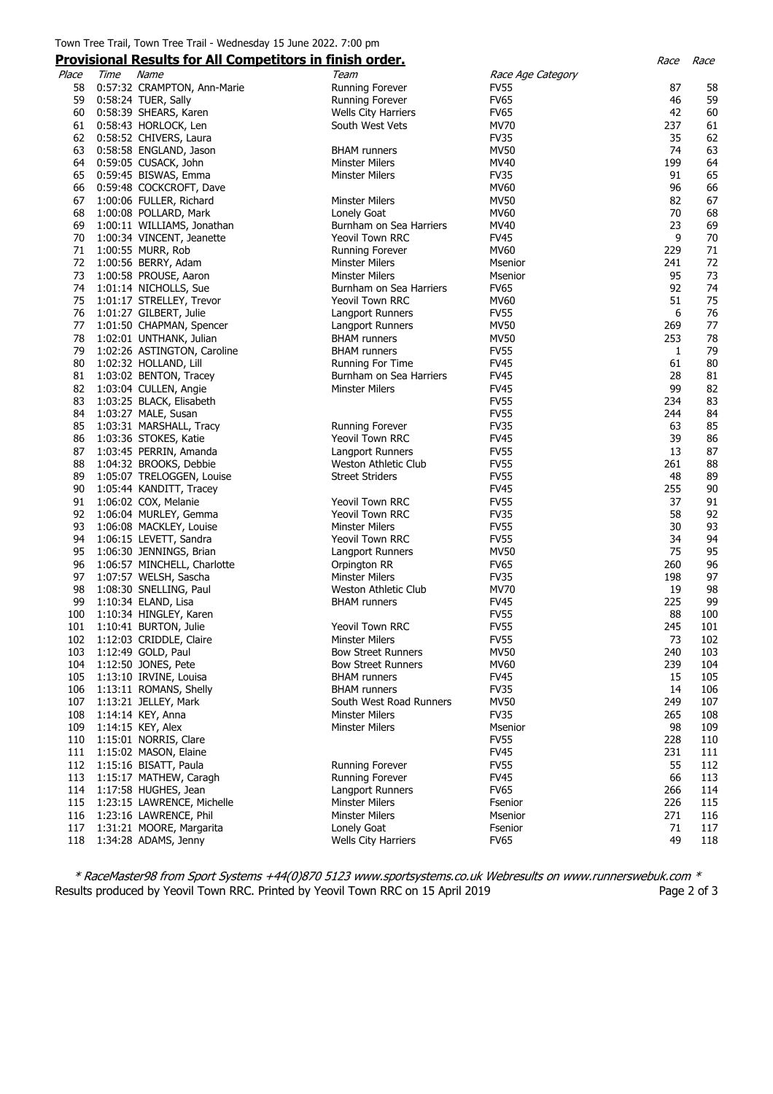### Town Tree Trail, Town Tree Trail - Wednesday 15 June 2022. 7:00 pm

|       |      |                             | <b>Provisional Results for All Competitors in finish order.</b> |                   | Race | Race |
|-------|------|-----------------------------|-----------------------------------------------------------------|-------------------|------|------|
| Place | Time | Name                        | Team                                                            | Race Age Category |      |      |
| 58    |      | 0:57:32 CRAMPTON, Ann-Marie | <b>Running Forever</b>                                          | <b>FV55</b>       | 87   | 58   |
| 59    |      | 0:58:24 TUER, Sally         | <b>Running Forever</b>                                          | <b>FV65</b>       | 46   | 59   |
| 60    |      | 0:58:39 SHEARS, Karen       | <b>Wells City Harriers</b>                                      | <b>FV65</b>       | 42   | 60   |
| 61    |      | 0:58:43 HORLOCK, Len        | South West Vets                                                 | <b>MV70</b>       | 237  | 61   |
| 62    |      | 0:58:52 CHIVERS, Laura      |                                                                 | <b>FV35</b>       | 35   | 62   |
| 63    |      | 0:58:58 ENGLAND, Jason      | <b>BHAM</b> runners                                             | <b>MV50</b>       | 74   | 63   |
| 64    |      | 0:59:05 CUSACK, John        | Minster Milers                                                  | MV40              | 199  | 64   |
| 65    |      | 0:59:45 BISWAS, Emma        | <b>Minster Milers</b>                                           | <b>FV35</b>       | 91   | 65   |
| 66    |      | 0:59:48 COCKCROFT, Dave     |                                                                 | MV60              | 96   | 66   |
| 67    |      | 1:00:06 FULLER, Richard     | <b>Minster Milers</b>                                           | <b>MV50</b>       | 82   | 67   |
| 68    |      | 1:00:08 POLLARD, Mark       | Lonely Goat                                                     | MV60              | 70   | 68   |
| 69    |      | 1:00:11 WILLIAMS, Jonathan  | Burnham on Sea Harriers                                         | MV40              | 23   | 69   |
| 70    |      | 1:00:34 VINCENT, Jeanette   | Yeovil Town RRC                                                 | <b>FV45</b>       | 9    | 70   |
| 71    |      | 1:00:55 MURR, Rob           | Running Forever                                                 | MV60              | 229  | 71   |
| 72    |      | 1:00:56 BERRY, Adam         | Minster Milers                                                  | Msenior           | 241  | 72   |
| 73    |      | 1:00:58 PROUSE, Aaron       | <b>Minster Milers</b>                                           | Msenior           | 95   | 73   |
| 74    |      |                             | Burnham on Sea Harriers                                         | <b>FV65</b>       | 92   | 74   |
| 75    |      | 1:01:14 NICHOLLS, Sue       |                                                                 | MV60              | 51   | 75   |
|       |      | 1:01:17 STRELLEY, Trevor    | Yeovil Town RRC                                                 |                   |      |      |
| 76    |      | 1:01:27 GILBERT, Julie      | Langport Runners                                                | <b>FV55</b>       | 6    | 76   |
| 77    |      | 1:01:50 CHAPMAN, Spencer    | Langport Runners                                                | <b>MV50</b>       | 269  | 77   |
| 78    |      | 1:02:01 UNTHANK, Julian     | <b>BHAM</b> runners                                             | <b>MV50</b>       | 253  | 78   |
| 79    |      | 1:02:26 ASTINGTON, Caroline | <b>BHAM</b> runners                                             | <b>FV55</b>       | 1    | 79   |
| 80    |      | 1:02:32 HOLLAND, Lill       | Running For Time                                                | <b>FV45</b>       | 61   | 80   |
| 81    |      | 1:03:02 BENTON, Tracey      | Burnham on Sea Harriers                                         | <b>FV45</b>       | 28   | 81   |
| 82    |      | 1:03:04 CULLEN, Angie       | <b>Minster Milers</b>                                           | <b>FV45</b>       | 99   | 82   |
| 83    |      | 1:03:25 BLACK, Elisabeth    |                                                                 | <b>FV55</b>       | 234  | 83   |
| 84    |      | 1:03:27 MALE, Susan         |                                                                 | <b>FV55</b>       | 244  | 84   |
| 85    |      | 1:03:31 MARSHALL, Tracy     | Running Forever                                                 | <b>FV35</b>       | 63   | 85   |
| 86    |      | 1:03:36 STOKES, Katie       | <b>Yeovil Town RRC</b>                                          | <b>FV45</b>       | 39   | 86   |
| 87    |      | 1:03:45 PERRIN, Amanda      | Langport Runners                                                | <b>FV55</b>       | 13   | 87   |
| 88    |      | 1:04:32 BROOKS, Debbie      | Weston Athletic Club                                            | <b>FV55</b>       | 261  | 88   |
| 89    |      | 1:05:07 TRELOGGEN, Louise   | <b>Street Striders</b>                                          | <b>FV55</b>       | 48   | 89   |
| 90    |      | 1:05:44 KANDITT, Tracey     |                                                                 | <b>FV45</b>       | 255  | 90   |
| 91    |      | 1:06:02 COX, Melanie        | <b>Yeovil Town RRC</b>                                          | <b>FV55</b>       | 37   | 91   |
| 92    |      | 1:06:04 MURLEY, Gemma       | Yeovil Town RRC                                                 | <b>FV35</b>       | 58   | 92   |
| 93    |      | 1:06:08 MACKLEY, Louise     | <b>Minster Milers</b>                                           | <b>FV55</b>       | 30   | 93   |
| 94    |      | 1:06:15 LEVETT, Sandra      | <b>Yeovil Town RRC</b>                                          | <b>FV55</b>       | 34   | 94   |
| 95    |      | 1:06:30 JENNINGS, Brian     | Langport Runners                                                | <b>MV50</b>       | 75   | 95   |
| 96    |      | 1:06:57 MINCHELL, Charlotte | Orpington RR                                                    | <b>FV65</b>       | 260  | 96   |
| 97    |      | 1:07:57 WELSH, Sascha       | <b>Minster Milers</b>                                           | <b>FV35</b>       | 198  | 97   |
| 98    |      | 1:08:30 SNELLING, Paul      | Weston Athletic Club                                            | MV70              | 19   | 98   |
| 99    |      | 1:10:34 ELAND, Lisa         | <b>BHAM</b> runners                                             | <b>FV45</b>       | 225  | 99   |
| 100   |      | 1:10:34 HINGLEY, Karen      |                                                                 | <b>FV55</b>       | 88   | 100  |
| 101   |      | 1:10:41 BURTON, Julie       | <b>Yeovil Town RRC</b>                                          | <b>FV55</b>       | 245  | 101  |
| 102   |      | 1:12:03 CRIDDLE, Claire     | Minster Milers                                                  | <b>FV55</b>       | 73   | 102  |
| 103   |      | 1:12:49 GOLD, Paul          | Bow Street Runners                                              | <b>MV50</b>       | 240  | 103  |
| 104   |      | 1:12:50 JONES, Pete         | <b>Bow Street Runners</b>                                       | <b>MV60</b>       | 239  | 104  |
| 105   |      | 1:13:10 IRVINE, Louisa      | <b>BHAM</b> runners                                             | <b>FV45</b>       | 15   | 105  |
| 106   |      | 1:13:11 ROMANS, Shelly      | <b>BHAM</b> runners                                             | <b>FV35</b>       | 14   | 106  |
| 107   |      | 1:13:21 JELLEY, Mark        | South West Road Runners                                         | <b>MV50</b>       | 249  | 107  |
| 108   |      | 1:14:14 KEY, Anna           | <b>Minster Milers</b>                                           | <b>FV35</b>       | 265  | 108  |
| 109   |      | 1:14:15 KEY, Alex           | <b>Minster Milers</b>                                           | Msenior           | 98   | 109  |
| 110   |      | 1:15:01 NORRIS, Clare       |                                                                 | <b>FV55</b>       | 228  | 110  |
| 111   |      | 1:15:02 MASON, Elaine       |                                                                 | <b>FV45</b>       | 231  | 111  |
| 112   |      | 1:15:16 BISATT, Paula       | Running Forever                                                 | <b>FV55</b>       | 55   | 112  |
| 113   |      | 1:15:17 MATHEW, Caragh      | Running Forever                                                 | <b>FV45</b>       | 66   | 113  |
| 114   |      | 1:17:58 HUGHES, Jean        | Langport Runners                                                | <b>FV65</b>       | 266  | 114  |
| 115   |      | 1:23:15 LAWRENCE, Michelle  | <b>Minster Milers</b>                                           | Fsenior           | 226  | 115  |
| 116   |      | 1:23:16 LAWRENCE, Phil      | <b>Minster Milers</b>                                           | Msenior           | 271  | 116  |
| 117   |      | 1:31:21 MOORE, Margarita    | Lonely Goat                                                     | Fsenior           | 71   | 117  |
| 118   |      | 1:34:28 ADAMS, Jenny        | <b>Wells City Harriers</b>                                      | <b>FV65</b>       | 49   | 118  |
|       |      |                             |                                                                 |                   |      |      |

\* RaceMaster98 from Sport Systems +44(0)870 5123 www.sportsystems.co.uk Webresults on www.runnerswebuk.com \* Results produced by Yeovil Town RRC. Printed by Yeovil Town RRC on 15 April 2019 **Page 2 of 3** Page 2 of 3